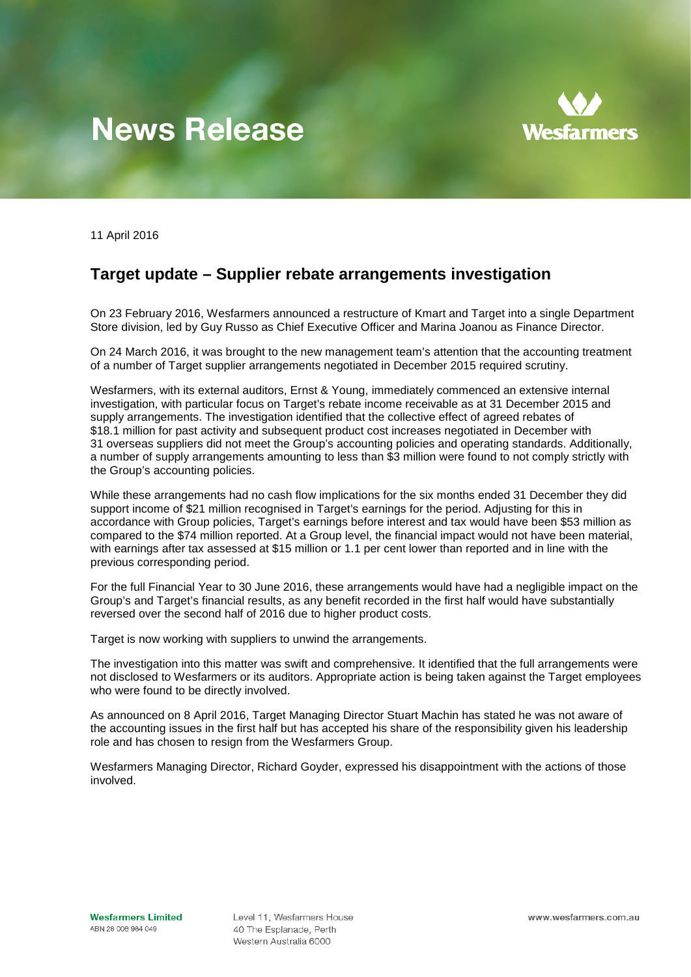## **News Release**



11 April 2016

## **Target update – Supplier rebate arrangements investigation**

On 23 February 2016, Wesfarmers announced a restructure of Kmart and Target into a single Department Store division, led by Guy Russo as Chief Executive Officer and Marina Joanou as Finance Director.

On 24 March 2016, it was brought to the new management team's attention that the accounting treatment of a number of Target supplier arrangements negotiated in December 2015 required scrutiny.

Wesfarmers, with its external auditors, Ernst & Young, immediately commenced an extensive internal investigation, with particular focus on Target's rebate income receivable as at 31 December 2015 and supply arrangements. The investigation identified that the collective effect of agreed rebates of \$18.1 million for past activity and subsequent product cost increases negotiated in December with 31 overseas suppliers did not meet the Group's accounting policies and operating standards. Additionally, a number of supply arrangements amounting to less than \$3 million were found to not comply strictly with the Group's accounting policies.

While these arrangements had no cash flow implications for the six months ended 31 December they did support income of \$21 million recognised in Target's earnings for the period. Adjusting for this in accordance with Group policies, Target's earnings before interest and tax would have been \$53 million as compared to the \$74 million reported. At a Group level, the financial impact would not have been material, with earnings after tax assessed at \$15 million or 1.1 per cent lower than reported and in line with the previous corresponding period.

For the full Financial Year to 30 June 2016, these arrangements would have had a negligible impact on the Group's and Target's financial results, as any benefit recorded in the first half would have substantially reversed over the second half of 2016 due to higher product costs.

Target is now working with suppliers to unwind the arrangements.

The investigation into this matter was swift and comprehensive. It identified that the full arrangements were not disclosed to Wesfarmers or its auditors. Appropriate action is being taken against the Target employees who were found to be directly involved.

As announced on 8 April 2016, Target Managing Director Stuart Machin has stated he was not aware of the accounting issues in the first half but has accepted his share of the responsibility given his leadership role and has chosen to resign from the Wesfarmers Group.

Wesfarmers Managing Director, Richard Goyder, expressed his disappointment with the actions of those involved.